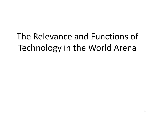The Relevance and Functions of Technology in the World Arena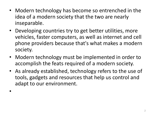- Modern technology has become so entrenched in the idea of a modern society that the two are nearly inseparable.
- Developing countries try to get better utilities, more vehicles, faster computers, as well as internet and cell phone providers because that's what makes a modern society.
- Modern technology must be implemented in order to accomplish the feats required of a modern society.
- As already established, technology refers to the use of tools, gadgets and resources that help us control and adapt to our environment.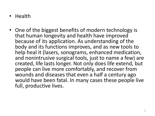- Health
- One of the biggest benefits of modern technology is that human longevity and health have improved because of its application. As understanding of the body and its functions improves, and as new tools to help heal it (lasers, sonograms, enhanced medication, and nonintrusive surgical tools, just to name a few) are created, life lasts longer. Not only does life extend, but people can live more comfortably, and recover from wounds and diseases that even a half a century ago would have been fatal. In many cases these people live full, productive lives.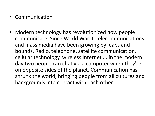- **Communication**
- Modern technology has revolutionized how people communicate. Since World War II, telecommunications and mass media have been growing by leaps and bounds. Radio, telephone, satellite communication, cellular technology, wireless Internet ... in the modern day two people can chat via a computer when they're on opposite sides of the planet. Communication has shrunk the world, bringing people from all cultures and backgrounds into contact with each other.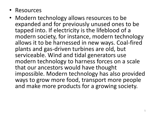- Resources
- Modern technology allows resources to be expanded and for previously unused ones to be tapped into. If electricity is the lifeblood of a modern society, for instance, modern technology allows it to be harnessed in new ways. Coal-fired plants and gas-driven turbines are old, but serviceable. Wind and tidal generators use modern technology to harness forces on a scale that our ancestors would have thought impossible. Modern technology has also provided ways to grow more food, transport more people and make more products for a growing society.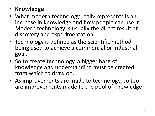## • **Knowledge**

- What modern technology really represents is an increase in knowledge and how people can use it. Modern technology is usually the direct result of discovery and experimentation.
- Technology is defined as the scientific method being used to achieve a commercial or industrial goal.
- So to create technology, a bigger base of knowledge and understanding must be created from which to draw on.
- As improvements are made to technology, so too are improvements made to the pool of knowledge.